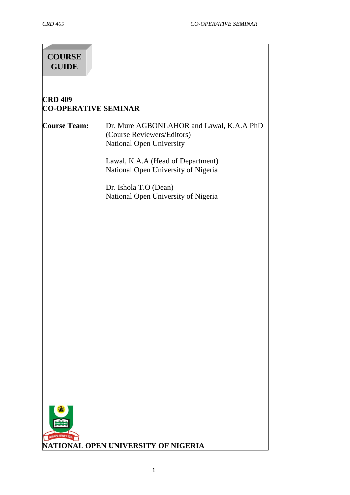# **COURSE GUIDE**

## **CRD 409 CO-OPERATIVE SEMINAR**

#### **Course Team:** Dr. Mure AGBONLAHOR and Lawal, K.A.A PhD (Course Reviewers/Editors) National Open University

Lawal, K.A.A (Head of Department) National Open University of Nigeria

Dr. Ishola T.O (Dean) National Open University of Nigeria

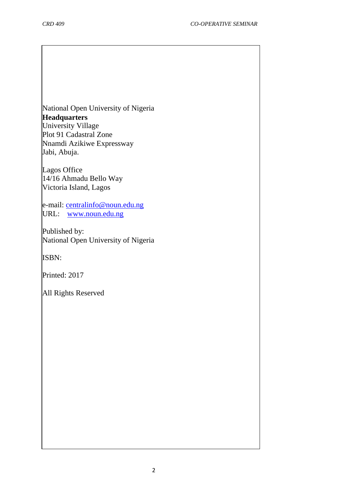National Open University of Nigeria **Headquarters** University Village Plot 91 Cadastral Zone Nnamdi Azikiwe Expressway Jabi, Abuja.

Lagos Office 14/16 Ahmadu Bello Way Victoria Island, Lagos

e-mail: [centralinfo@noun.edu.ng](mailto:centralinfo@noun.edu.ng) URL: [www.noun.edu.ng](http://www.noun.edu.ng/)

Published by: National Open University of Nigeria

ISBN:

Printed: 2017

All Rights Reserved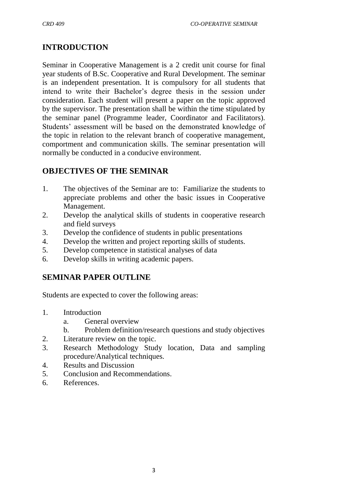## **INTRODUCTION**

Seminar in Cooperative Management is a 2 credit unit course for final year students of B.Sc. Cooperative and Rural Development. The seminar is an independent presentation. It is compulsory for all students that intend to write their Bachelor's degree thesis in the session under consideration. Each student will present a paper on the topic approved by the supervisor. The presentation shall be within the time stipulated by the seminar panel (Programme leader, Coordinator and Facilitators). Students' assessment will be based on the demonstrated knowledge of the topic in relation to the relevant branch of cooperative management, comportment and communication skills. The seminar presentation will normally be conducted in a conducive environment.

## **OBJECTIVES OF THE SEMINAR**

- 1. The objectives of the Seminar are to: Familiarize the students to appreciate problems and other the basic issues in Cooperative Management.
- 2. Develop the analytical skills of students in cooperative research and field surveys
- 3. Develop the confidence of students in public presentations
- 4. Develop the written and project reporting skills of students.
- 5. Develop competence in statistical analyses of data
- 6. Develop skills in writing academic papers.

## **SEMINAR PAPER OUTLINE**

Students are expected to cover the following areas:

- 1. Introduction
	- a. General overview
	- b. Problem definition/research questions and study objectives
- 2. Literature review on the topic.
- 3. Research Methodology Study location, Data and sampling procedure/Analytical techniques.
- 4. Results and Discussion
- 5. Conclusion and Recommendations.
- 6. References.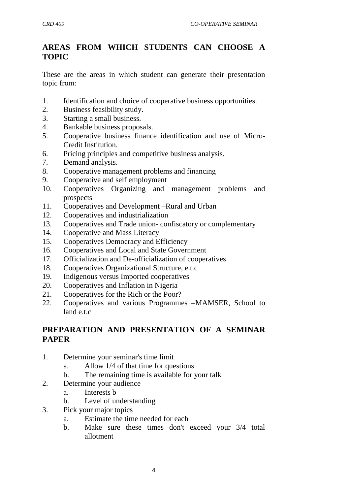## **AREAS FROM WHICH STUDENTS CAN CHOOSE A TOPIC**

These are the areas in which student can generate their presentation topic from:

- 1. Identification and choice of cooperative business opportunities.
- 2. Business feasibility study.
- 3. Starting a small business.
- 4. Bankable business proposals.
- 5. Cooperative business finance identification and use of Micro-Credit Institution.
- 6. Pricing principles and competitive business analysis.
- 7. Demand analysis.
- 8. Cooperative management problems and financing
- 9. Cooperative and self employment
- 10. Cooperatives Organizing and management problems and prospects
- 11. Cooperatives and Development –Rural and Urban
- 12. Cooperatives and industrialization
- 13. Cooperatives and Trade union- confiscatory or complementary
- 14. Cooperative and Mass Literacy
- 15. Cooperatives Democracy and Efficiency
- 16. Cooperatives and Local and State Government
- 17. Officialization and De-officialization of cooperatives
- 18. Cooperatives Organizational Structure, e.t.c
- 19. Indigenous versus Imported cooperatives
- 20. Cooperatives and Inflation in Nigeria
- 21. Cooperatives for the Rich or the Poor?
- 22. Cooperatives and various Programmes –MAMSER, School to land e.t.c

## **PREPARATION AND PRESENTATION OF A SEMINAR PAPER**

- 1. Determine your seminar's time limit
	- a. Allow 1/4 of that time for questions
	- b. The remaining time is available for your talk
- 2. Determine your audience
	- a. Interests b
	- b. Level of understanding
- 3. Pick your major topics
	- a. Estimate the time needed for each
	- b. Make sure these times don't exceed your 3/4 total allotment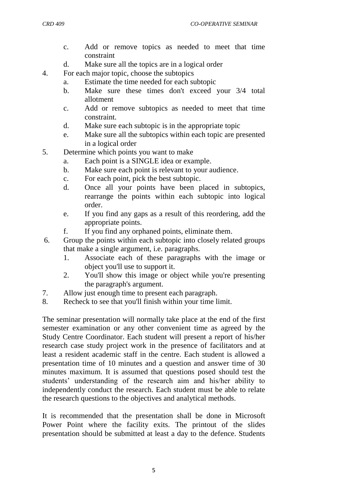- c. Add or remove topics as needed to meet that time constraint
- d. Make sure all the topics are in a logical order
- 4. For each major topic, choose the subtopics
	- a. Estimate the time needed for each subtopic
	- b. Make sure these times don't exceed your 3/4 total allotment
	- c. Add or remove subtopics as needed to meet that time constraint.
	- d. Make sure each subtopic is in the appropriate topic
	- e. Make sure all the subtopics within each topic are presented in a logical order
- 5. Determine which points you want to make
	- a. Each point is a SINGLE idea or example.
	- b. Make sure each point is relevant to your audience.
	- c. For each point, pick the best subtopic.
	- d. Once all your points have been placed in subtopics, rearrange the points within each subtopic into logical order.
	- e. If you find any gaps as a result of this reordering, add the appropriate points.
	- f. If you find any orphaned points, eliminate them.
- 6. Group the points within each subtopic into closely related groups that make a single argument, i.e. paragraphs.
	- 1. Associate each of these paragraphs with the image or object you'll use to support it.
	- 2. You'll show this image or object while you're presenting the paragraph's argument.
- 7. Allow just enough time to present each paragraph.
- 8. Recheck to see that you'll finish within your time limit.

The seminar presentation will normally take place at the end of the first semester examination or any other convenient time as agreed by the Study Centre Coordinator. Each student will present a report of his/her research case study project work in the presence of facilitators and at least a resident academic staff in the centre. Each student is allowed a presentation time of 10 minutes and a question and answer time of 30 minutes maximum. It is assumed that questions posed should test the students' understanding of the research aim and his/her ability to independently conduct the research. Each student must be able to relate the research questions to the objectives and analytical methods.

It is recommended that the presentation shall be done in Microsoft Power Point where the facility exits. The printout of the slides presentation should be submitted at least a day to the defence. Students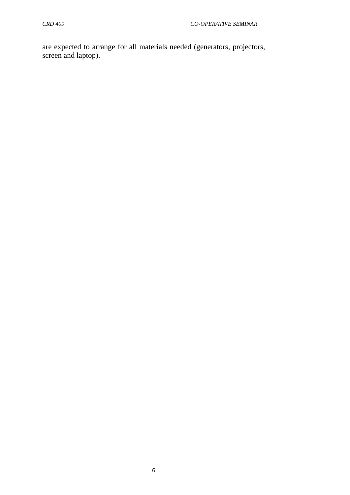are expected to arrange for all materials needed (generators, projectors, screen and laptop).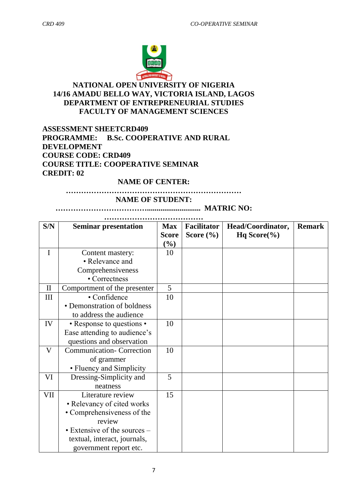

## **NATIONAL OPEN UNIVERSITY OF NIGERIA 14/16 AMADU BELLO WAY, VICTORIA ISLAND, LAGOS DEPARTMENT OF ENTREPRENEURIAL STUDIES FACULTY OF MANAGEMENT SCIENCES**

#### **ASSESSMENT SHEETCRD409 PROGRAMME: B.Sc. COOPERATIVE AND RURAL DEVELOPMENT COURSE CODE: CRD409 COURSE TITLE: COOPERATIVE SEMINAR CREDIT: 02**

#### **NAME OF CENTER:**

#### **…………………………………………………………… NAME OF STUDENT:**

**………………………………............................ MATRIC NO:** 

| S/N          | <b>Seminar presentation</b>      | <b>Max</b>   | <b>Facilitator</b> | Head/Coordinator,                   | <b>Remark</b> |
|--------------|----------------------------------|--------------|--------------------|-------------------------------------|---------------|
|              |                                  | <b>Score</b> | Score $(\% )$      | Hq Score $\left(\frac{6}{6}\right)$ |               |
|              |                                  | $(\%)$       |                    |                                     |               |
| I            | Content mastery:                 | 10           |                    |                                     |               |
|              | • Relevance and                  |              |                    |                                     |               |
|              | Comprehensiveness                |              |                    |                                     |               |
|              | • Correctness                    |              |                    |                                     |               |
| $\mathbf{I}$ | Comportment of the presenter     | 5            |                    |                                     |               |
| Ш            | • Confidence                     | 10           |                    |                                     |               |
|              | • Demonstration of boldness      |              |                    |                                     |               |
|              | to address the audience          |              |                    |                                     |               |
| IV           | • Response to questions •        | 10           |                    |                                     |               |
|              | Ease attending to audience's     |              |                    |                                     |               |
|              | questions and observation        |              |                    |                                     |               |
| $\mathbf V$  | <b>Communication- Correction</b> | 10           |                    |                                     |               |
|              | of grammer                       |              |                    |                                     |               |
|              | • Fluency and Simplicity         |              |                    |                                     |               |
| VI           | Dressing-Simplicity and          | 5            |                    |                                     |               |
|              | neatness                         |              |                    |                                     |               |
| VII          | Literature review                | 15           |                    |                                     |               |
|              | • Relevancy of cited works       |              |                    |                                     |               |
|              | • Comprehensiveness of the       |              |                    |                                     |               |
|              | review                           |              |                    |                                     |               |
|              | • Extensive of the sources –     |              |                    |                                     |               |
|              | textual, interact, journals,     |              |                    |                                     |               |
|              | government report etc.           |              |                    |                                     |               |